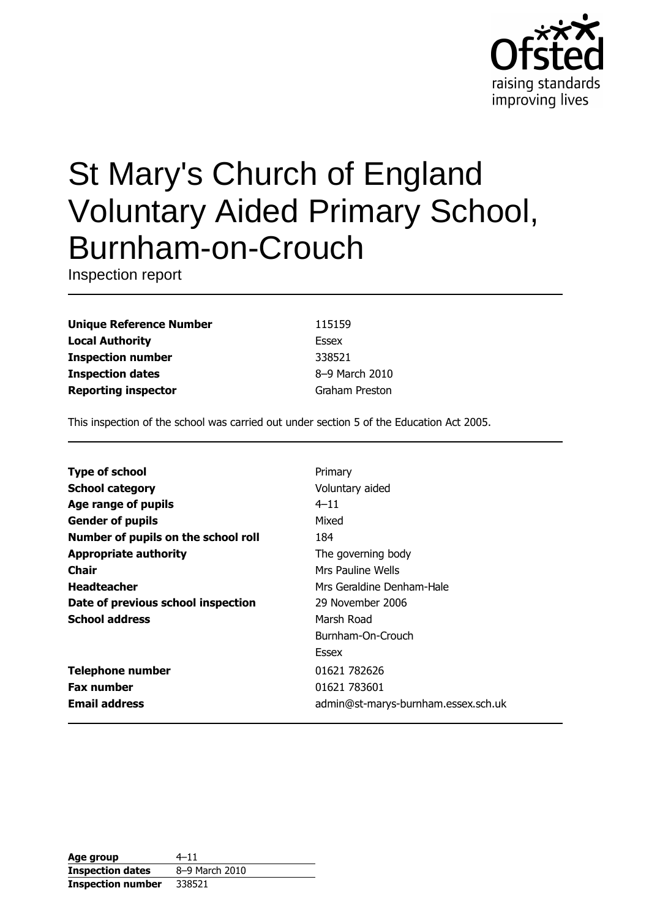

# St Mary's Church of England **Voluntary Aided Primary School,** Burnham-on-Crouch

Inspection report

**Unique Reference Number Local Authority Inspection number Inspection dates Reporting inspector** 

115159 **Essex** 338521 8-9 March 2010 **Graham Preston** 

This inspection of the school was carried out under section 5 of the Education Act 2005.

| <b>Type of school</b>               | Primary                             |
|-------------------------------------|-------------------------------------|
|                                     |                                     |
| <b>School category</b>              | Voluntary aided                     |
| Age range of pupils                 | $4 - 11$                            |
| <b>Gender of pupils</b>             | Mixed                               |
| Number of pupils on the school roll | 184                                 |
| <b>Appropriate authority</b>        | The governing body                  |
| <b>Chair</b>                        | Mrs Pauline Wells                   |
| <b>Headteacher</b>                  | Mrs Geraldine Denham-Hale           |
| Date of previous school inspection  | 29 November 2006                    |
| <b>School address</b>               | Marsh Road                          |
|                                     | Burnham-On-Crouch                   |
|                                     | Essex                               |
| <b>Telephone number</b>             | 01621 782626                        |
| <b>Fax number</b>                   | 01621 783601                        |
| <b>Email address</b>                | admin@st-marys-burnham.essex.sch.uk |

| Age group                | $4 - 11$       |
|--------------------------|----------------|
| <b>Inspection dates</b>  | 8-9 March 2010 |
| <b>Inspection number</b> | 338521         |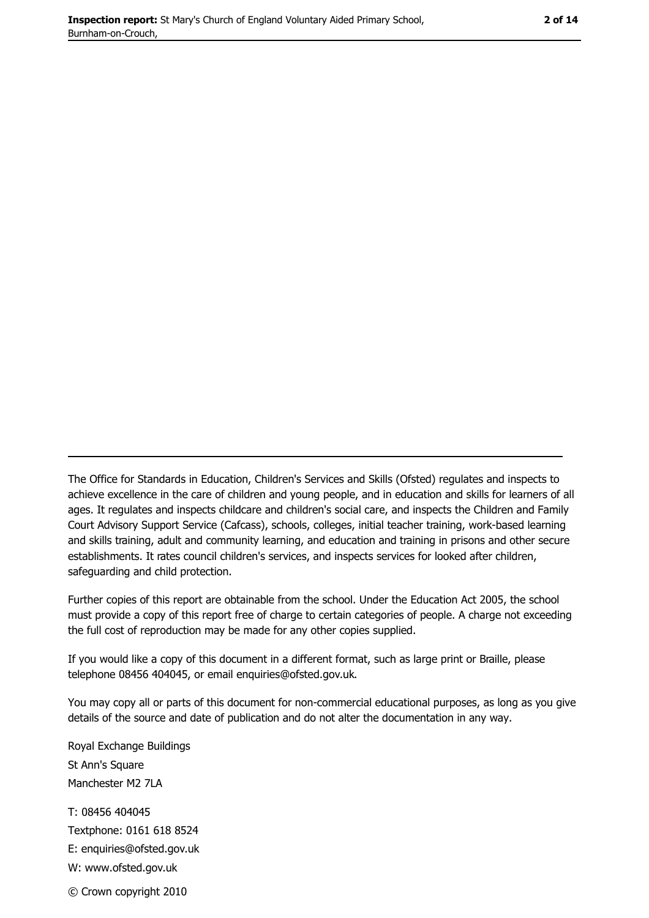2 of 14

The Office for Standards in Education, Children's Services and Skills (Ofsted) regulates and inspects to achieve excellence in the care of children and young people, and in education and skills for learners of all ages. It regulates and inspects childcare and children's social care, and inspects the Children and Family Court Advisory Support Service (Cafcass), schools, colleges, initial teacher training, work-based learning and skills training, adult and community learning, and education and training in prisons and other secure establishments. It rates council children's services, and inspects services for looked after children, safequarding and child protection.

Further copies of this report are obtainable from the school. Under the Education Act 2005, the school must provide a copy of this report free of charge to certain categories of people. A charge not exceeding the full cost of reproduction may be made for any other copies supplied.

If you would like a copy of this document in a different format, such as large print or Braille, please telephone 08456 404045, or email enquiries@ofsted.gov.uk.

You may copy all or parts of this document for non-commercial educational purposes, as long as you give details of the source and date of publication and do not alter the documentation in any way.

Royal Exchange Buildings St Ann's Square Manchester M2 7LA T: 08456 404045 Textphone: 0161 618 8524 E: enquiries@ofsted.gov.uk W: www.ofsted.gov.uk © Crown copyright 2010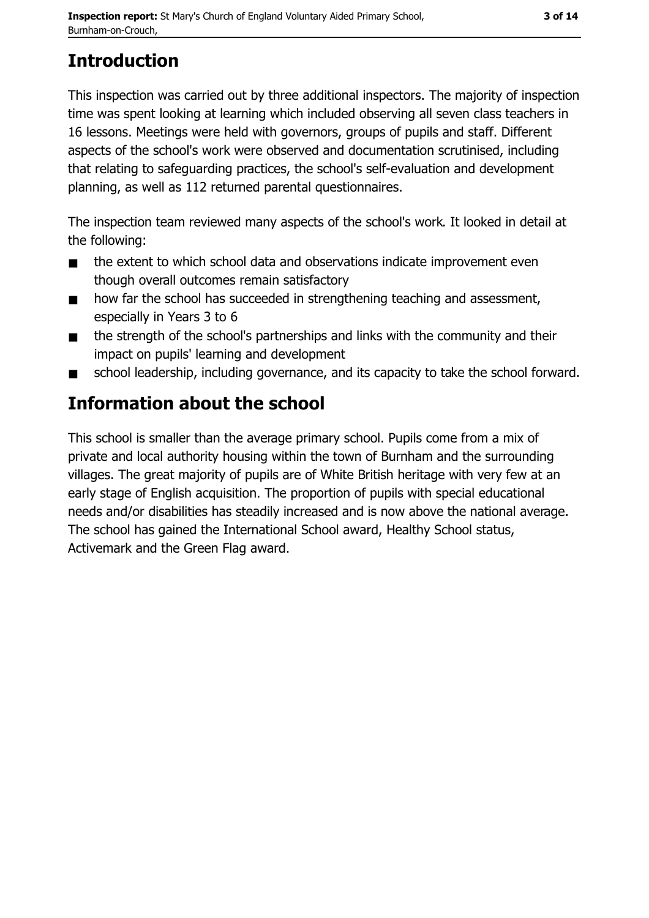# **Introduction**

This inspection was carried out by three additional inspectors. The majority of inspection time was spent looking at learning which included observing all seven class teachers in 16 lessons. Meetings were held with governors, groups of pupils and staff. Different aspects of the school's work were observed and documentation scrutinised, including that relating to safeguarding practices, the school's self-evaluation and development planning, as well as 112 returned parental questionnaires.

The inspection team reviewed many aspects of the school's work. It looked in detail at the following:

- the extent to which school data and observations indicate improvement even  $\blacksquare$ though overall outcomes remain satisfactory
- how far the school has succeeded in strengthening teaching and assessment,  $\blacksquare$ especially in Years 3 to 6
- the strength of the school's partnerships and links with the community and their  $\blacksquare$ impact on pupils' learning and development
- school leadership, including governance, and its capacity to take the school forward.

# Information about the school

This school is smaller than the average primary school. Pupils come from a mix of private and local authority housing within the town of Burnham and the surrounding villages. The great majority of pupils are of White British heritage with very few at an early stage of English acquisition. The proportion of pupils with special educational needs and/or disabilities has steadily increased and is now above the national average. The school has gained the International School award, Healthy School status, Activemark and the Green Flag award.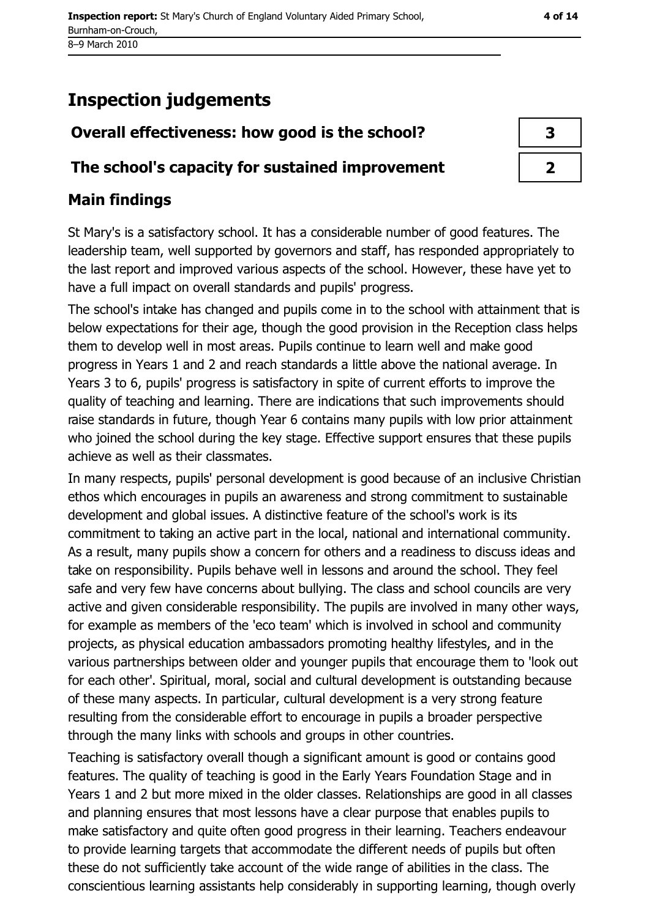# **Inspection judgements**

## Overall effectiveness: how good is the school?

#### The school's capacity for sustained improvement

## **Main findings**

St Mary's is a satisfactory school. It has a considerable number of good features. The leadership team, well supported by governors and staff, has responded appropriately to the last report and improved various aspects of the school. However, these have yet to have a full impact on overall standards and pupils' progress.

The school's intake has changed and pupils come in to the school with attainment that is below expectations for their age, though the good provision in the Reception class helps them to develop well in most areas. Pupils continue to learn well and make good progress in Years 1 and 2 and reach standards a little above the national average. In Years 3 to 6, pupils' progress is satisfactory in spite of current efforts to improve the quality of teaching and learning. There are indications that such improvements should raise standards in future, though Year 6 contains many pupils with low prior attainment who joined the school during the key stage. Effective support ensures that these pupils achieve as well as their classmates.

In many respects, pupils' personal development is good because of an inclusive Christian ethos which encourages in pupils an awareness and strong commitment to sustainable development and global issues. A distinctive feature of the school's work is its commitment to taking an active part in the local, national and international community. As a result, many pupils show a concern for others and a readiness to discuss ideas and take on responsibility. Pupils behave well in lessons and around the school. They feel safe and very few have concerns about bullying. The class and school councils are very active and given considerable responsibility. The pupils are involved in many other ways, for example as members of the 'eco team' which is involved in school and community projects, as physical education ambassadors promoting healthy lifestyles, and in the various partnerships between older and younger pupils that encourage them to 'look out for each other'. Spiritual, moral, social and cultural development is outstanding because of these many aspects. In particular, cultural development is a very strong feature resulting from the considerable effort to encourage in pupils a broader perspective through the many links with schools and groups in other countries.

Teaching is satisfactory overall though a significant amount is good or contains good features. The quality of teaching is good in the Early Years Foundation Stage and in Years 1 and 2 but more mixed in the older classes. Relationships are good in all classes and planning ensures that most lessons have a clear purpose that enables pupils to make satisfactory and quite often good progress in their learning. Teachers endeavour to provide learning targets that accommodate the different needs of pupils but often these do not sufficiently take account of the wide range of abilities in the class. The conscientious learning assistants help considerably in supporting learning, though overly

3  $\overline{2}$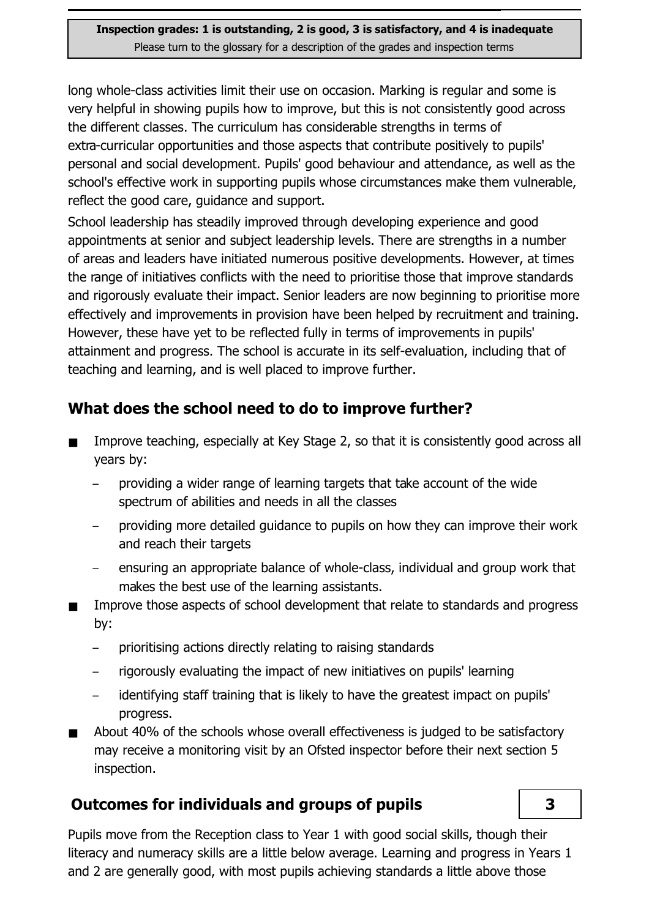long whole-class activities limit their use on occasion. Marking is regular and some is very helpful in showing pupils how to improve, but this is not consistently good across the different classes. The curriculum has considerable strengths in terms of extra-curricular opportunities and those aspects that contribute positively to pupils' personal and social development. Pupils' good behaviour and attendance, as well as the school's effective work in supporting pupils whose circumstances make them vulnerable, reflect the good care, guidance and support.

School leadership has steadily improved through developing experience and good appointments at senior and subject leadership levels. There are strengths in a number of areas and leaders have initiated numerous positive developments. However, at times the range of initiatives conflicts with the need to prioritise those that improve standards and rigorously evaluate their impact. Senior leaders are now beginning to prioritise more effectively and improvements in provision have been helped by recruitment and training. However, these have yet to be reflected fully in terms of improvements in pupils' attainment and progress. The school is accurate in its self-evaluation, including that of teaching and learning, and is well placed to improve further.

## What does the school need to do to improve further?

- Improve teaching, especially at Key Stage 2, so that it is consistently good across all years by:
	- providing a wider range of learning targets that take account of the wide spectrum of abilities and needs in all the classes
	- providing more detailed guidance to pupils on how they can improve their work and reach their targets
	- ensuring an appropriate balance of whole-class, individual and group work that makes the best use of the learning assistants.
- Improve those aspects of school development that relate to standards and progress  $\blacksquare$ by:
	- prioritising actions directly relating to raising standards  $\equiv$
	- rigorously evaluating the impact of new initiatives on pupils' learning
	- identifying staff training that is likely to have the greatest impact on pupils'  $\overline{\phantom{0}}$ progress.
- About 40% of the schools whose overall effectiveness is judged to be satisfactory may receive a monitoring visit by an Ofsted inspector before their next section 5 inspection.

## **Outcomes for individuals and groups of pupils**

 $\overline{\mathbf{3}}$ 

Pupils move from the Reception class to Year 1 with good social skills, though their literacy and numeracy skills are a little below average. Learning and progress in Years 1 and 2 are generally good, with most pupils achieving standards a little above those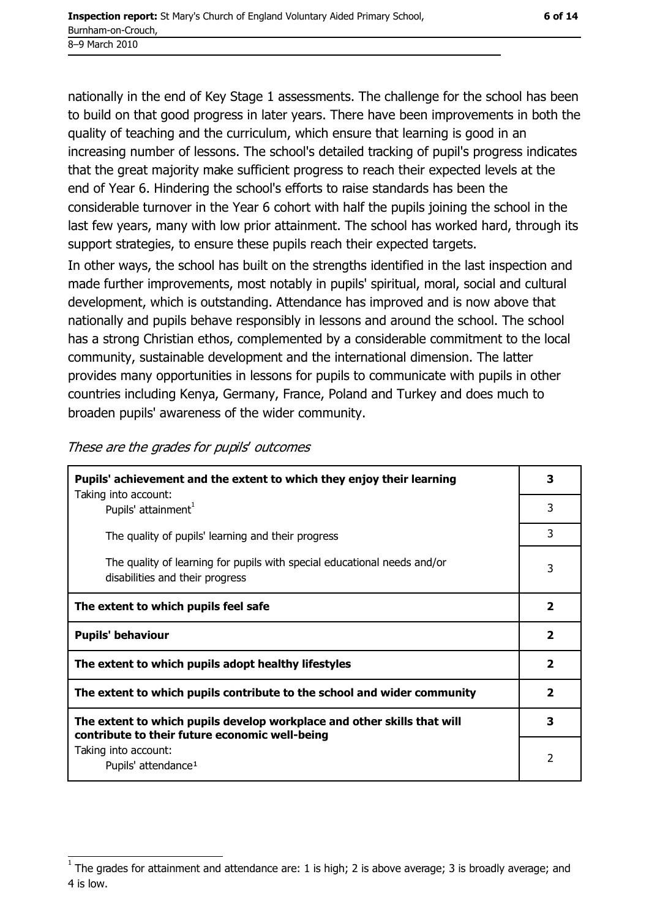nationally in the end of Key Stage 1 assessments. The challenge for the school has been to build on that good progress in later years. There have been improvements in both the quality of teaching and the curriculum, which ensure that learning is good in an increasing number of lessons. The school's detailed tracking of pupil's progress indicates that the great majority make sufficient progress to reach their expected levels at the end of Year 6. Hindering the school's efforts to raise standards has been the considerable turnover in the Year 6 cohort with half the pupils joining the school in the last few years, many with low prior attainment. The school has worked hard, through its support strategies, to ensure these pupils reach their expected targets.

In other ways, the school has built on the strengths identified in the last inspection and made further improvements, most notably in pupils' spiritual, moral, social and cultural development, which is outstanding. Attendance has improved and is now above that nationally and pupils behave responsibly in lessons and around the school. The school has a strong Christian ethos, complemented by a considerable commitment to the local community, sustainable development and the international dimension. The latter provides many opportunities in lessons for pupils to communicate with pupils in other countries including Kenya, Germany, France, Poland and Turkey and does much to broaden pupils' awareness of the wider community.

| Pupils' achievement and the extent to which they enjoy their learning                                                     |                         |  |
|---------------------------------------------------------------------------------------------------------------------------|-------------------------|--|
| Taking into account:<br>Pupils' attainment <sup>1</sup>                                                                   |                         |  |
| The quality of pupils' learning and their progress                                                                        | 3                       |  |
| The quality of learning for pupils with special educational needs and/or<br>disabilities and their progress               |                         |  |
| The extent to which pupils feel safe                                                                                      |                         |  |
| <b>Pupils' behaviour</b>                                                                                                  |                         |  |
|                                                                                                                           | $\mathbf{2}$            |  |
| The extent to which pupils adopt healthy lifestyles                                                                       | $\mathbf{2}$            |  |
| The extent to which pupils contribute to the school and wider community                                                   | $\overline{\mathbf{2}}$ |  |
| The extent to which pupils develop workplace and other skills that will<br>contribute to their future economic well-being | 3                       |  |

These are the grades for pupils' outcomes

The grades for attainment and attendance are: 1 is high; 2 is above average; 3 is broadly average; and 4 is low.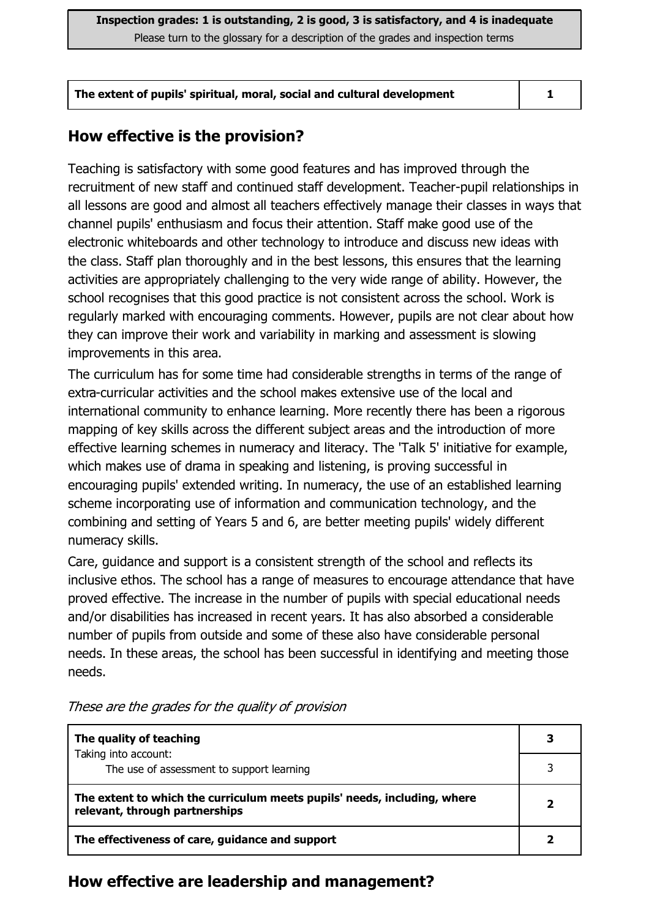#### How effective is the provision?

Teaching is satisfactory with some good features and has improved through the recruitment of new staff and continued staff development. Teacher-pupil relationships in all lessons are good and almost all teachers effectively manage their classes in ways that channel pupils' enthusiasm and focus their attention. Staff make good use of the electronic whiteboards and other technology to introduce and discuss new ideas with the class. Staff plan thoroughly and in the best lessons, this ensures that the learning activities are appropriately challenging to the very wide range of ability. However, the school recognises that this good practice is not consistent across the school. Work is regularly marked with encouraging comments. However, pupils are not clear about how they can improve their work and variability in marking and assessment is slowing improvements in this area.

The curriculum has for some time had considerable strengths in terms of the range of extra-curricular activities and the school makes extensive use of the local and international community to enhance learning. More recently there has been a rigorous mapping of key skills across the different subject areas and the introduction of more effective learning schemes in numeracy and literacy. The 'Talk 5' initiative for example, which makes use of drama in speaking and listening, is proving successful in encouraging pupils' extended writing. In numeracy, the use of an established learning scheme incorporating use of information and communication technology, and the combining and setting of Years 5 and 6, are better meeting pupils' widely different numeracy skills.

Care, quidance and support is a consistent strength of the school and reflects its inclusive ethos. The school has a range of measures to encourage attendance that have proved effective. The increase in the number of pupils with special educational needs and/or disabilities has increased in recent vears. It has also absorbed a considerable number of pupils from outside and some of these also have considerable personal needs. In these areas, the school has been successful in identifying and meeting those needs.

| The quality of teaching                                                                                    |  |
|------------------------------------------------------------------------------------------------------------|--|
| Taking into account:<br>The use of assessment to support learning                                          |  |
|                                                                                                            |  |
| The extent to which the curriculum meets pupils' needs, including, where<br>relevant, through partnerships |  |
| The effectiveness of care, guidance and support                                                            |  |

These are the grades for the quality of provision

## How effective are leadership and management?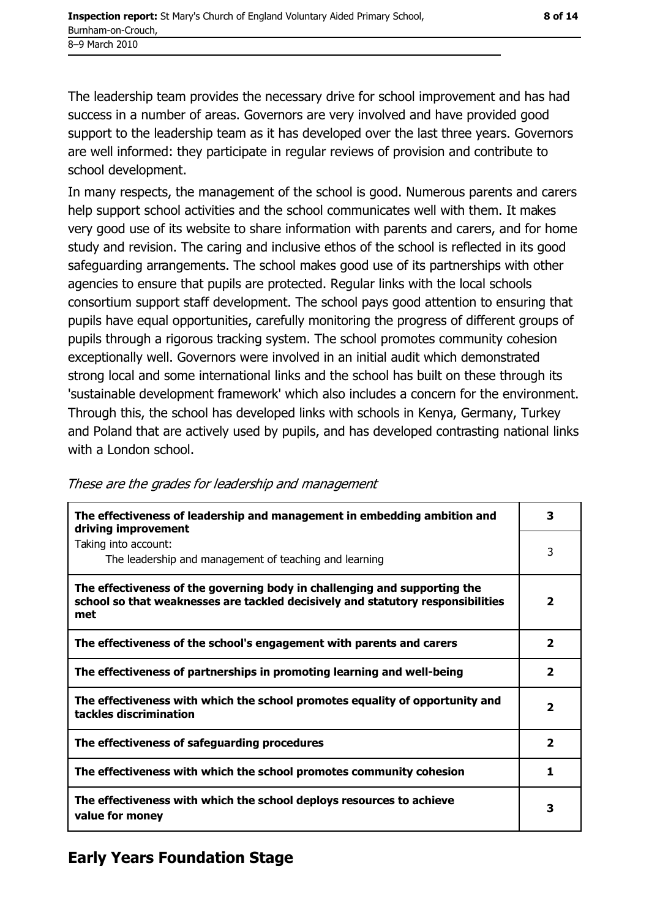The leadership team provides the necessary drive for school improvement and has had success in a number of areas. Governors are very involved and have provided good support to the leadership team as it has developed over the last three years. Governors are well informed: they participate in regular reviews of provision and contribute to school development.

In many respects, the management of the school is good. Numerous parents and carers help support school activities and the school communicates well with them. It makes very good use of its website to share information with parents and carers, and for home study and revision. The caring and inclusive ethos of the school is reflected in its good safeguarding arrangements. The school makes good use of its partnerships with other agencies to ensure that pupils are protected. Regular links with the local schools consortium support staff development. The school pays good attention to ensuring that pupils have equal opportunities, carefully monitoring the progress of different groups of pupils through a rigorous tracking system. The school promotes community cohesion exceptionally well. Governors were involved in an initial audit which demonstrated strong local and some international links and the school has built on these through its 'sustainable development framework' which also includes a concern for the environment. Through this, the school has developed links with schools in Kenya, Germany, Turkey and Poland that are actively used by pupils, and has developed contrasting national links with a London school.

| The effectiveness of leadership and management in embedding ambition and<br>driving improvement                                                                     |              |  |
|---------------------------------------------------------------------------------------------------------------------------------------------------------------------|--------------|--|
| Taking into account:<br>The leadership and management of teaching and learning                                                                                      | 3            |  |
| The effectiveness of the governing body in challenging and supporting the<br>school so that weaknesses are tackled decisively and statutory responsibilities<br>met | 2            |  |
| The effectiveness of the school's engagement with parents and carers                                                                                                | 2            |  |
| The effectiveness of partnerships in promoting learning and well-being                                                                                              | $\mathbf{z}$ |  |
| The effectiveness with which the school promotes equality of opportunity and<br>tackles discrimination                                                              |              |  |
| The effectiveness of safeguarding procedures                                                                                                                        | $\mathbf{z}$ |  |
| The effectiveness with which the school promotes community cohesion                                                                                                 |              |  |
| The effectiveness with which the school deploys resources to achieve<br>value for money                                                                             |              |  |

These are the grades for leadership and management

## **Early Years Foundation Stage**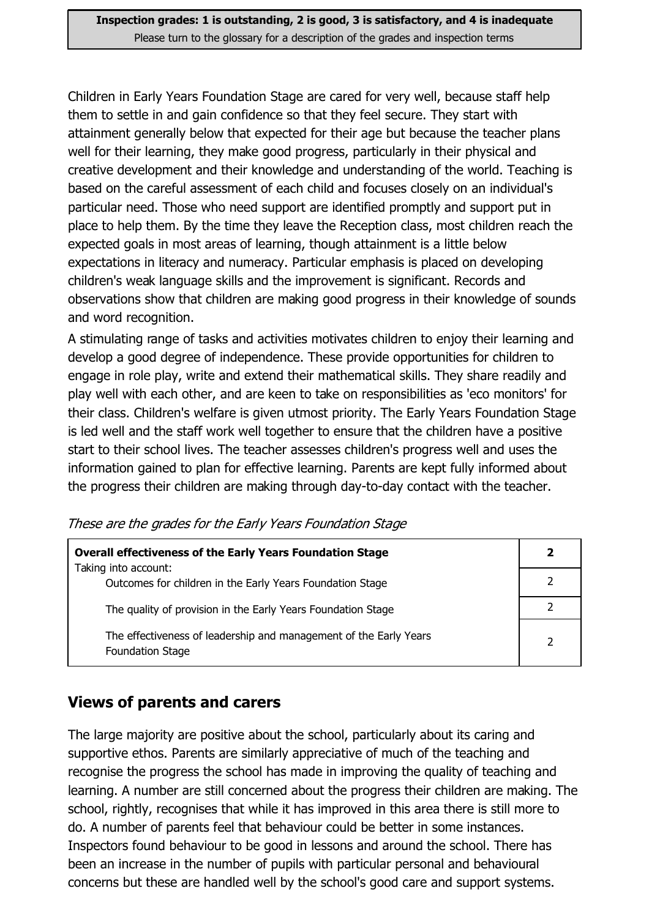Inspection grades: 1 is outstanding, 2 is good, 3 is satisfactory, and 4 is inadequate Please turn to the glossary for a description of the grades and inspection terms

Children in Early Years Foundation Stage are cared for very well, because staff help them to settle in and gain confidence so that they feel secure. They start with attainment generally below that expected for their age but because the teacher plans well for their learning, they make good progress, particularly in their physical and creative development and their knowledge and understanding of the world. Teaching is based on the careful assessment of each child and focuses closely on an individual's particular need. Those who need support are identified promptly and support put in place to help them. By the time they leave the Reception class, most children reach the expected goals in most areas of learning, though attainment is a little below expectations in literacy and numeracy. Particular emphasis is placed on developing children's weak language skills and the improvement is significant. Records and observations show that children are making good progress in their knowledge of sounds and word recognition.

A stimulating range of tasks and activities motivates children to enjoy their learning and develop a good degree of independence. These provide opportunities for children to engage in role play, write and extend their mathematical skills. They share readily and play well with each other, and are keen to take on responsibilities as 'eco monitors' for their class. Children's welfare is given utmost priority. The Early Years Foundation Stage is led well and the staff work well together to ensure that the children have a positive start to their school lives. The teacher assesses children's progress well and uses the information gained to plan for effective learning. Parents are kept fully informed about the progress their children are making through day-to-day contact with the teacher.

| <b>Overall effectiveness of the Early Years Foundation Stage</b><br>Taking into account:     |   |  |
|----------------------------------------------------------------------------------------------|---|--|
| Outcomes for children in the Early Years Foundation Stage                                    |   |  |
| The quality of provision in the Early Years Foundation Stage                                 |   |  |
| The effectiveness of leadership and management of the Early Years<br><b>Foundation Stage</b> | っ |  |

These are the grades for the Early Years Foundation Stage

#### **Views of parents and carers**

The large majority are positive about the school, particularly about its caring and supportive ethos. Parents are similarly appreciative of much of the teaching and recognise the progress the school has made in improving the quality of teaching and learning. A number are still concerned about the progress their children are making. The school, rightly, recognises that while it has improved in this area there is still more to do. A number of parents feel that behaviour could be better in some instances. Inspectors found behaviour to be good in lessons and around the school. There has been an increase in the number of pupils with particular personal and behavioural concerns but these are handled well by the school's good care and support systems.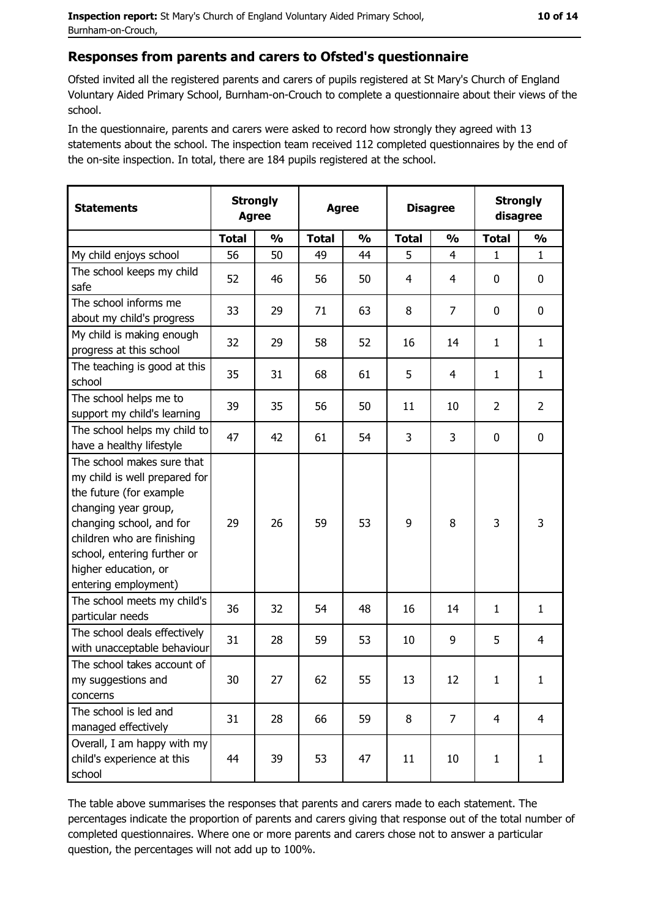#### Responses from parents and carers to Ofsted's questionnaire

Ofsted invited all the registered parents and carers of pupils registered at St Mary's Church of England Voluntary Aided Primary School, Burnham-on-Crouch to complete a questionnaire about their views of the school.

In the questionnaire, parents and carers were asked to record how strongly they agreed with 13 statements about the school. The inspection team received 112 completed questionnaires by the end of the on-site inspection. In total, there are 184 pupils registered at the school.

| <b>Statements</b>                                                                                                                                                                                                                                       | <b>Strongly</b><br><b>Agree</b> |               | <b>Agree</b> |               | <b>Disagree</b> |                | <b>Strongly</b><br>disagree |                |
|---------------------------------------------------------------------------------------------------------------------------------------------------------------------------------------------------------------------------------------------------------|---------------------------------|---------------|--------------|---------------|-----------------|----------------|-----------------------------|----------------|
|                                                                                                                                                                                                                                                         | <b>Total</b>                    | $\frac{1}{2}$ | <b>Total</b> | $\frac{0}{0}$ | <b>Total</b>    | $\frac{0}{0}$  | <b>Total</b>                | $\frac{1}{2}$  |
| My child enjoys school                                                                                                                                                                                                                                  | 56                              | 50            | 49           | 44            | 5               | $\overline{4}$ | $\mathbf{1}$                | $\mathbf{1}$   |
| The school keeps my child<br>safe                                                                                                                                                                                                                       | 52                              | 46            | 56           | 50            | 4               | 4              | 0                           | 0              |
| The school informs me<br>about my child's progress                                                                                                                                                                                                      | 33                              | 29            | 71           | 63            | 8               | $\overline{7}$ | 0                           | 0              |
| My child is making enough<br>progress at this school                                                                                                                                                                                                    | 32                              | 29            | 58           | 52            | 16              | 14             | 1                           | $\mathbf{1}$   |
| The teaching is good at this<br>school                                                                                                                                                                                                                  | 35                              | 31            | 68           | 61            | 5               | 4              | 1                           | $\mathbf{1}$   |
| The school helps me to<br>support my child's learning                                                                                                                                                                                                   | 39                              | 35            | 56           | 50            | 11              | 10             | $\overline{2}$              | $\overline{2}$ |
| The school helps my child to<br>have a healthy lifestyle                                                                                                                                                                                                | 47                              | 42            | 61           | 54            | 3               | 3              | 0                           | $\bf{0}$       |
| The school makes sure that<br>my child is well prepared for<br>the future (for example<br>changing year group,<br>changing school, and for<br>children who are finishing<br>school, entering further or<br>higher education, or<br>entering employment) | 29                              | 26            | 59           | 53            | 9               | 8              | 3                           | 3              |
| The school meets my child's<br>particular needs                                                                                                                                                                                                         | 36                              | 32            | 54           | 48            | 16              | 14             | 1                           | $\mathbf{1}$   |
| The school deals effectively<br>with unacceptable behaviour                                                                                                                                                                                             | 31                              | 28            | 59           | 53            | 10              | 9              | 5                           | $\overline{4}$ |
| The school takes account of<br>my suggestions and<br>concerns                                                                                                                                                                                           | 30                              | 27            | 62           | 55            | 13              | 12             | 1                           | $\mathbf{1}$   |
| The school is led and<br>managed effectively                                                                                                                                                                                                            | 31                              | 28            | 66           | 59            | 8               | 7              | $\overline{4}$              | $\overline{4}$ |
| Overall, I am happy with my<br>child's experience at this<br>school                                                                                                                                                                                     | 44                              | 39            | 53           | 47            | 11              | 10             | $\mathbf{1}$                | $\mathbf{1}$   |

The table above summarises the responses that parents and carers made to each statement. The percentages indicate the proportion of parents and carers giving that response out of the total number of completed questionnaires. Where one or more parents and carers chose not to answer a particular question, the percentages will not add up to 100%.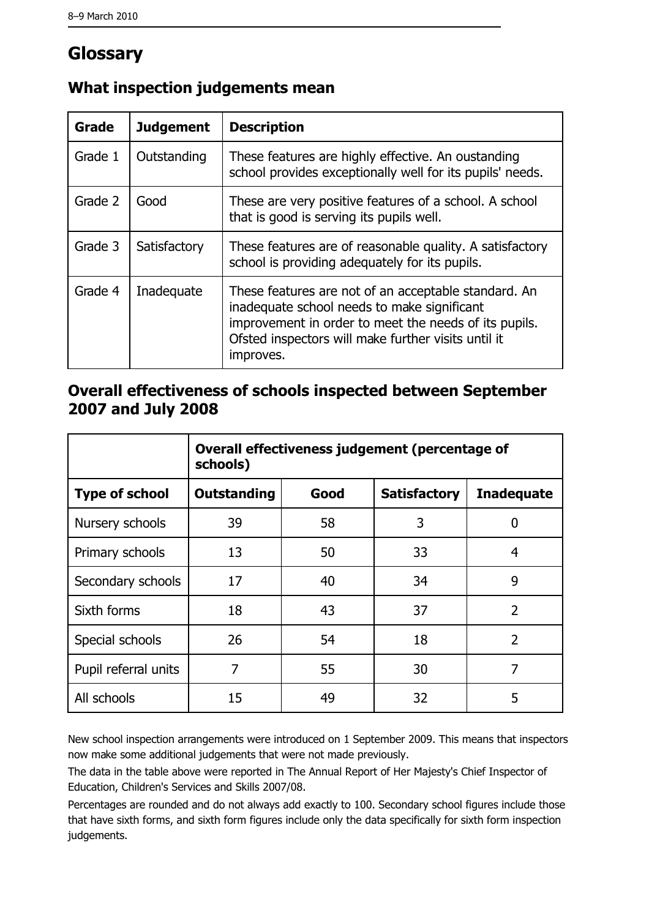# Glossary

| Grade   | <b>Judgement</b> | <b>Description</b>                                                                                                                                                                                                               |  |
|---------|------------------|----------------------------------------------------------------------------------------------------------------------------------------------------------------------------------------------------------------------------------|--|
| Grade 1 | Outstanding      | These features are highly effective. An oustanding<br>school provides exceptionally well for its pupils' needs.                                                                                                                  |  |
| Grade 2 | Good             | These are very positive features of a school. A school<br>that is good is serving its pupils well.                                                                                                                               |  |
| Grade 3 | Satisfactory     | These features are of reasonable quality. A satisfactory<br>school is providing adequately for its pupils.                                                                                                                       |  |
| Grade 4 | Inadequate       | These features are not of an acceptable standard. An<br>inadequate school needs to make significant<br>improvement in order to meet the needs of its pupils.<br>Ofsted inspectors will make further visits until it<br>improves. |  |

## What inspection judgements mean

#### Overall effectiveness of schools inspected between September 2007 and July 2008

|                       | Overall effectiveness judgement (percentage of<br>schools) |      |                     |                   |
|-----------------------|------------------------------------------------------------|------|---------------------|-------------------|
| <b>Type of school</b> | <b>Outstanding</b>                                         | Good | <b>Satisfactory</b> | <b>Inadequate</b> |
| Nursery schools       | 39                                                         | 58   | 3                   | 0                 |
| Primary schools       | 13                                                         | 50   | 33                  | 4                 |
| Secondary schools     | 17                                                         | 40   | 34                  | 9                 |
| Sixth forms           | 18                                                         | 43   | 37                  | $\overline{2}$    |
| Special schools       | 26                                                         | 54   | 18                  | $\overline{2}$    |
| Pupil referral units  | 7                                                          | 55   | 30                  | 7                 |
| All schools           | 15                                                         | 49   | 32                  | 5                 |

New school inspection arrangements were introduced on 1 September 2009. This means that inspectors now make some additional judgements that were not made previously.

The data in the table above were reported in The Annual Report of Her Majesty's Chief Inspector of Education, Children's Services and Skills 2007/08.

Percentages are rounded and do not always add exactly to 100. Secondary school figures include those that have sixth forms, and sixth form figures include only the data specifically for sixth form inspection judgements.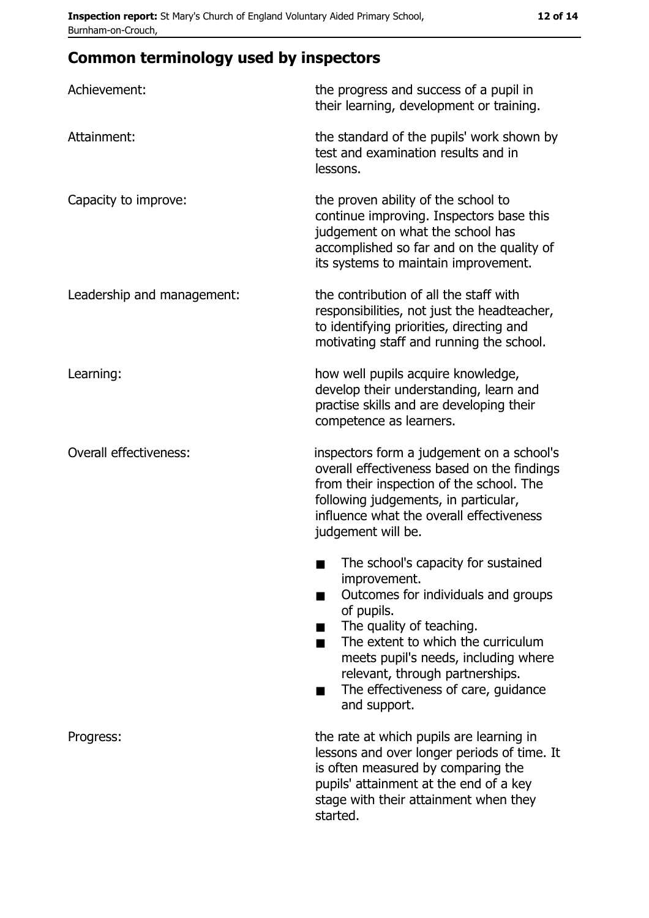# **Common terminology used by inspectors**

| Achievement:                  | the progress and success of a pupil in<br>their learning, development or training.                                                                                                                                                                                                                           |
|-------------------------------|--------------------------------------------------------------------------------------------------------------------------------------------------------------------------------------------------------------------------------------------------------------------------------------------------------------|
| Attainment:                   | the standard of the pupils' work shown by<br>test and examination results and in<br>lessons.                                                                                                                                                                                                                 |
| Capacity to improve:          | the proven ability of the school to<br>continue improving. Inspectors base this<br>judgement on what the school has<br>accomplished so far and on the quality of<br>its systems to maintain improvement.                                                                                                     |
| Leadership and management:    | the contribution of all the staff with<br>responsibilities, not just the headteacher,<br>to identifying priorities, directing and<br>motivating staff and running the school.                                                                                                                                |
| Learning:                     | how well pupils acquire knowledge,<br>develop their understanding, learn and<br>practise skills and are developing their<br>competence as learners.                                                                                                                                                          |
| <b>Overall effectiveness:</b> | inspectors form a judgement on a school's<br>overall effectiveness based on the findings<br>from their inspection of the school. The<br>following judgements, in particular,<br>influence what the overall effectiveness<br>judgement will be.                                                               |
|                               | The school's capacity for sustained<br>improvement.<br>Outcomes for individuals and groups<br>of pupils.<br>The quality of teaching.<br>The extent to which the curriculum<br>meets pupil's needs, including where<br>relevant, through partnerships.<br>The effectiveness of care, guidance<br>and support. |
| Progress:                     | the rate at which pupils are learning in<br>lessons and over longer periods of time. It<br>is often measured by comparing the<br>pupils' attainment at the end of a key<br>stage with their attainment when they<br>started.                                                                                 |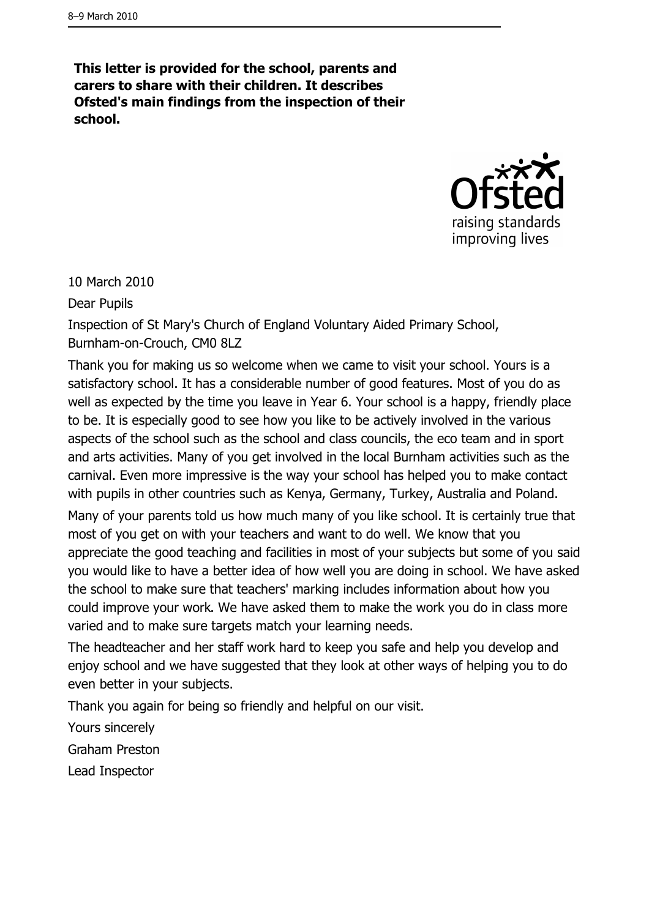This letter is provided for the school, parents and carers to share with their children. It describes Ofsted's main findings from the inspection of their school.



10 March 2010

**Dear Pupils** 

Inspection of St Mary's Church of England Voluntary Aided Primary School, Burnham-on-Crouch, CM0 8LZ

Thank you for making us so welcome when we came to visit your school. Yours is a satisfactory school. It has a considerable number of good features. Most of you do as well as expected by the time you leave in Year 6. Your school is a happy, friendly place to be. It is especially good to see how you like to be actively involved in the various aspects of the school such as the school and class councils, the eco team and in sport and arts activities. Many of you get involved in the local Burnham activities such as the carnival. Even more impressive is the way your school has helped you to make contact with pupils in other countries such as Kenya, Germany, Turkey, Australia and Poland. Many of your parents told us how much many of you like school. It is certainly true that most of you get on with your teachers and want to do well. We know that you appreciate the good teaching and facilities in most of your subjects but some of you said you would like to have a better idea of how well you are doing in school. We have asked the school to make sure that teachers' marking includes information about how you could improve your work. We have asked them to make the work you do in class more varied and to make sure targets match your learning needs.

The headteacher and her staff work hard to keep you safe and help you develop and enjoy school and we have suggested that they look at other ways of helping you to do even better in your subjects.

Thank you again for being so friendly and helpful on our visit.

Yours sincerely

**Graham Preston** 

Lead Inspector